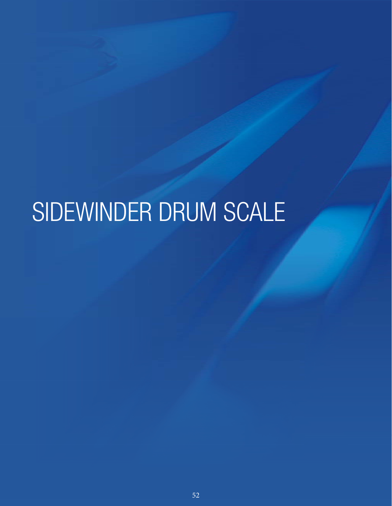# SIDEWINDER DRUM SCALE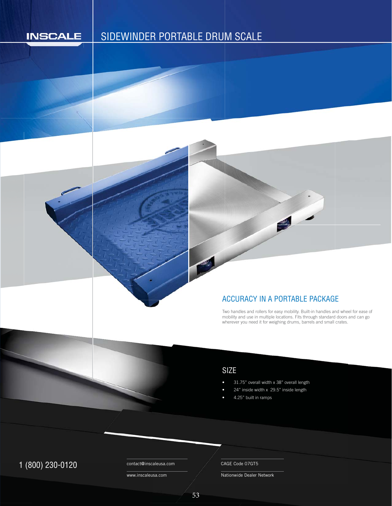# **INSCALE**

# SIDEWINDER PORTABLE DRUM SCALE

#### ACCURACY IN A PORTABLE PACKAGE

Two handles and rollers for easy mobility. Built-in handles and wheel for ease of mobility and use in multiple locations. Fits through standard doors and can go wherever you need it for weighing drums, barrels and small crates.

## SIZE

- 31.75" overall width x 38" overall length
- 24" inside width x 29.5" inside length
- 4.25" built in ramps

# $1 (800) 230 - 0120$  Contact@inscaleusa.com CAGE Code 07GT5

contact@inscaleusa.com

www.inscaleusa.com

Nationwide Dealer Network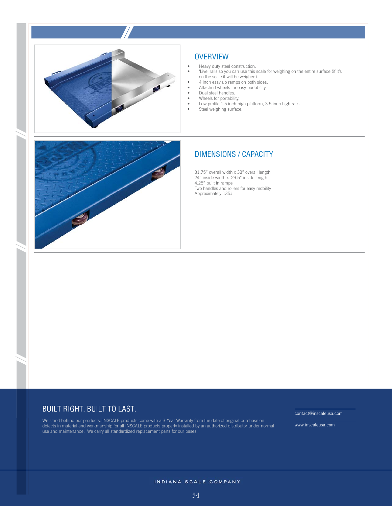

#### **OVERVIEW**

- Heavy duty steel construction.
- 'Live' rails so you can use this scale for weighing on the entire surface (if it's on the scale it will be weighed).
- 4 inch easy up ramps on both sides.
- Attached wheels for easy portability.
- Dual steel handles. • Wheels for portability.
- Low profile 1.5 inch high platform, 3.5 inch high rails.
- Steel weighing surface.



#### DIMENSIONS / CAPACITY

31.75" overall width x 38" overall length 24" inside width x 29.5" inside length 4.25" built in ramps Two handles and rollers for easy mobility Approximately 135#

#### BUILT RIGHT. BUILT TO LAST.

We stand behind our products. INSCALE products come with a 3-Year Warranty from the date of original purchase on defects in material and workmanship for all INSCALE products properly installed by an authorized distributor under normal use and maintenance. We carry all standardized replacement parts for our bases.

contact@inscaleusa.com

www.inscaleusa.com

INDIANA SCALE COMPANY